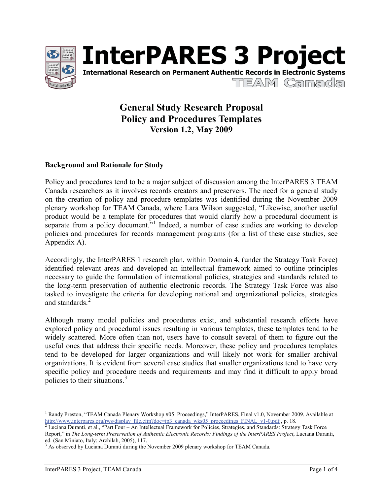



# **General Study Research Proposal Policy and Procedures Templates Version 1.2, May 2009**

# **Background and Rationale for Study**

Policy and procedures tend to be a major subject of discussion among the InterPARES 3 TEAM Canada researchers as it involves records creators and preservers. The need for a general study on the creation of policy and procedure templates was identified during the November 2009 plenary workshop for TEAM Canada, where Lara Wilson suggested, "Likewise, another useful product would be a template for procedures that would clarify how a procedural document is separate from a policy document."<sup>1</sup> Indeed, a number of case studies are working to develop policies and procedures for records management programs (for a list of these case studies, see Appendix A).

Accordingly, the InterPARES 1 research plan, within Domain 4, (under the Strategy Task Force) identified relevant areas and developed an intellectual framework aimed to outline principles necessary to guide the formulation of international policies, strategies and standards related to the long-term preservation of authentic electronic records. The Strategy Task Force was also tasked to investigate the criteria for developing national and organizational policies, strategies and standards.<sup>2</sup>

Although many model policies and procedures exist, and substantial research efforts have explored policy and procedural issues resulting in various templates, these templates tend to be widely scattered. More often than not, users have to consult several of them to figure out the useful ones that address their specific needs. Moreover, these policy and procedures templates tend to be developed for larger organizations and will likely not work for smaller archival organizations. It is evident from several case studies that smaller organizations tend to have very specific policy and procedure needs and requirements and may find it difficult to apply broad policies to their situations.<sup>3</sup>

 $\overline{a}$ 

<sup>&</sup>lt;sup>1</sup> Randy Preston, "TEAM Canada Plenary Workshop #05: Proceedings," InterPARES, Final v1.0, November 2009. Available at http://www.interpares.org/rws/display\_file.cfm?doc=ip3\_canada\_wks05\_proceedings\_FINAL\_v1-0.pdf, p. 18.<br><sup>2</sup> Luciana Duranti, et al., "Part Four – An Intellectual Framework for Policies, Strategies, and Standards: Strategy T

Report," in *The Long-term Preservation of Authentic Electronic Records: Findings of the InterPARES Project*, Luciana Duranti, ed. (San Miniato, Italy: Archilab, 2005), 117.

<sup>&</sup>lt;sup>3</sup> As observed by Luciana Duranti during the November 2009 plenary workshop for TEAM Canada.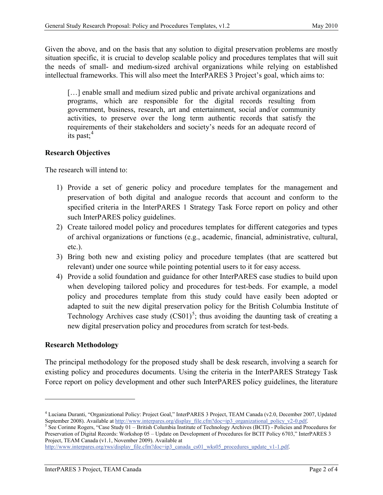Given the above, and on the basis that any solution to digital preservation problems are mostly situation specific, it is crucial to develop scalable policy and procedures templates that will suit the needs of small- and medium-sized archival organizations while relying on established intellectual frameworks. This will also meet the InterPARES 3 Project's goal, which aims to:

[...] enable small and medium sized public and private archival organizations and programs, which are responsible for the digital records resulting from government, business, research, art and entertainment, social and/or community activities, to preserve over the long term authentic records that satisfy the requirements of their stakeholders and society's needs for an adequate record of its past; $4$ 

# **Research Objectives**

The research will intend to:

- 1) Provide a set of generic policy and procedure templates for the management and preservation of both digital and analogue records that account and conform to the specified criteria in the InterPARES 1 Strategy Task Force report on policy and other such InterPARES policy guidelines.
- 2) Create tailored model policy and procedures templates for different categories and types of archival organizations or functions (e.g., academic, financial, administrative, cultural, etc.).
- 3) Bring both new and existing policy and procedure templates (that are scattered but relevant) under one source while pointing potential users to it for easy access.
- 4) Provide a solid foundation and guidance for other InterPARES case studies to build upon when developing tailored policy and procedures for test-beds. For example, a model policy and procedures template from this study could have easily been adopted or adapted to suit the new digital preservation policy for the British Columbia Institute of Technology Archives case study  $(CS01)^5$ ; thus avoiding the daunting task of creating a new digital preservation policy and procedures from scratch for test-beds.

# **Research Methodology**

 $\overline{\phantom{a}}$ 

The principal methodology for the proposed study shall be desk research, involving a search for existing policy and procedures documents. Using the criteria in the InterPARES Strategy Task Force report on policy development and other such InterPARES policy guidelines, the literature

<sup>4</sup> Luciana Duranti, "Organizational Policy: Project Goal," InterPARES 3 Project, TEAM Canada (v2.0, December 2007, Updated September 2008). Available at http://www.interpares.org/display\_file.cfm?doc=ip3\_organizational\_policy\_v2-0.pdf.<br><sup>5</sup> See Corinne Rogers, "Case Study 01 – British Columbia Institute of Technology Archives (BCIT) - Policies

Preservation of Digital Records: Workshop 05 – Update on Development of Procedures for BCIT Policy 6703," InterPARES 3 Project, TEAM Canada (v1.1, November 2009). Available at

http://www.interpares.org/rws/display\_file.cfm?doc=ip3\_canada\_cs01\_wks05\_procedures\_update\_v1-1.pdf.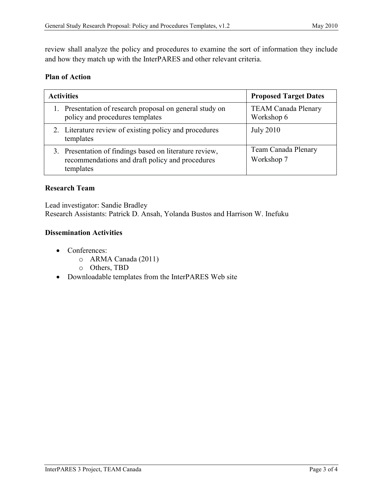review shall analyze the policy and procedures to examine the sort of information they include and how they match up with the InterPARES and other relevant criteria.

#### **Plan of Action**

| <b>Activities</b>                                                                                                       | <b>Proposed Target Dates</b>             |
|-------------------------------------------------------------------------------------------------------------------------|------------------------------------------|
| 1. Presentation of research proposal on general study on<br>policy and procedures templates                             | <b>TEAM Canada Plenary</b><br>Workshop 6 |
| 2. Literature review of existing policy and procedures<br>templates                                                     | <b>July 2010</b>                         |
| 3. Presentation of findings based on literature review,<br>recommendations and draft policy and procedures<br>templates | Team Canada Plenary<br>Workshop 7        |

#### **Research Team**

Lead investigator: Sandie Bradley Research Assistants: Patrick D. Ansah, Yolanda Bustos and Harrison W. Inefuku

# **Dissemination Activities**

- Conferences:
	- o ARMA Canada (2011)
	- o Others, TBD
- Downloadable templates from the InterPARES Web site